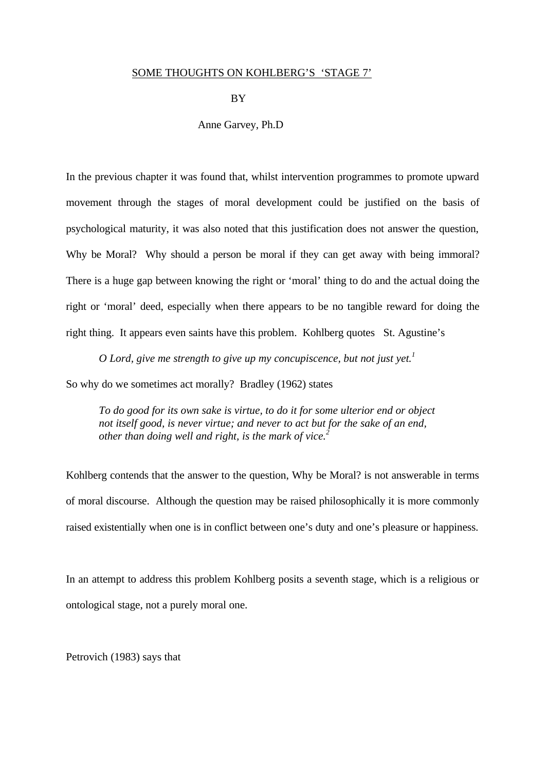## SOME THOUGHTS ON KOHLBERG'S 'STAGE 7'

**BY** 

Anne Garvey, Ph.D

In the previous chapter it was found that, whilst intervention programmes to promote upward movement through the stages of moral development could be justified on the basis of psychological maturity, it was also noted that this justification does not answer the question, Why be Moral? Why should a person be moral if they can get away with being immoral? There is a huge gap between knowing the right or 'moral' thing to do and the actual doing the right or 'moral' deed, especially when there appears to be no tangible reward for doing the right thing. It appears even saints have this problem. Kohlberg quotes St. Agustine's

*O Lord, give me strength to give up my concupiscence, but not just yet.<sup>1</sup>* So why do we sometimes act morally? Bradley (1962) states

*To do good for its own sake is virtue, to do it for some ulterior end or object not itself good, is never virtue; and never to act but for the sake of an end, other than doing well and right, is the mark of vice.<sup>2</sup>*

Kohlberg contends that the answer to the question, Why be Moral? is not answerable in terms of moral discourse. Although the question may be raised philosophically it is more commonly raised existentially when one is in conflict between one's duty and one's pleasure or happiness.

In an attempt to address this problem Kohlberg posits a seventh stage, which is a religious or ontological stage, not a purely moral one.

Petrovich (1983) says that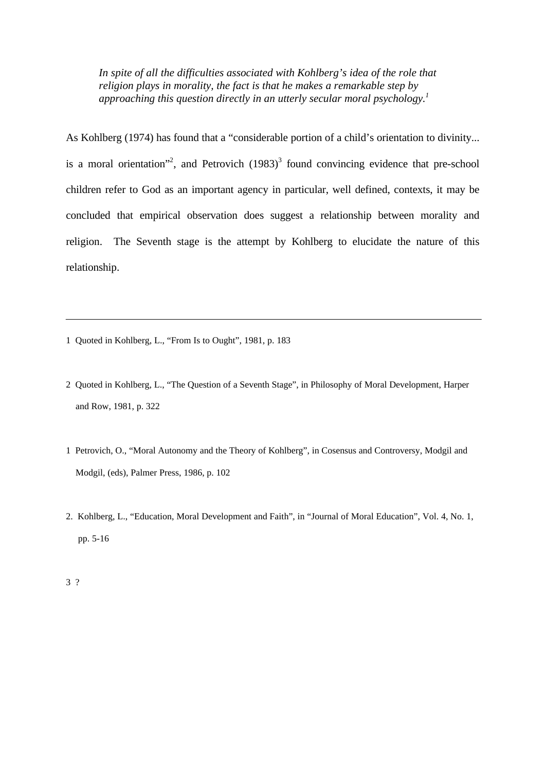*In spite of all the difficulties associated with Kohlberg's idea of the role that religion plays in morality, the fact is that he makes a remarkable step by approaching this question directly in an utterly secular moral psychology.<sup>1</sup>*

As Kohlberg (1974) has found that a "considerable portion of a child's orientation to divinity... is a moral orientation"<sup>2</sup>, and Petrovich  $(1983)^3$  found convincing evidence that pre-school children refer to God as an important agency in particular, well defined, contexts, it may be concluded that empirical observation does suggest a relationship between morality and religion. The Seventh stage is the attempt by Kohlberg to elucidate the nature of this relationship.

- 1 Quoted in Kohlberg, L., "From Is to Ought", 1981, p. 183
- 2 Quoted in Kohlberg, L., "The Question of a Seventh Stage", in Philosophy of Moral Development, Harper and Row, 1981, p. 322
- 1 Petrovich, O., "Moral Autonomy and the Theory of Kohlberg", in Cosensus and Controversy, Modgil and Modgil, (eds), Palmer Press, 1986, p. 102
- 2. Kohlberg, L., "Education, Moral Development and Faith", in "Journal of Moral Education", Vol. 4, No. 1, pp. 5-16

3 ?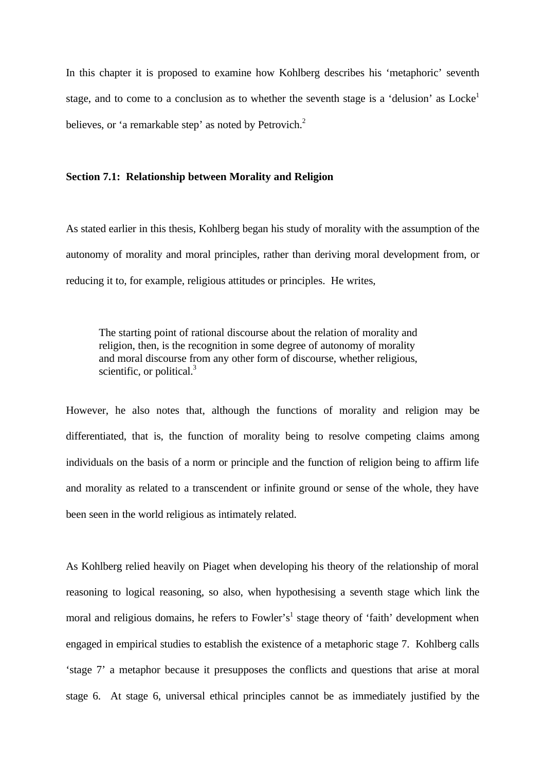In this chapter it is proposed to examine how Kohlberg describes his 'metaphoric' seventh stage, and to come to a conclusion as to whether the seventh stage is a 'delusion' as  $Locke<sup>1</sup>$ believes, or 'a remarkable step' as noted by Petrovich.<sup>2</sup>

## **Section 7.1: Relationship between Morality and Religion**

As stated earlier in this thesis, Kohlberg began his study of morality with the assumption of the autonomy of morality and moral principles, rather than deriving moral development from, or reducing it to, for example, religious attitudes or principles. He writes,

The starting point of rational discourse about the relation of morality and religion, then, is the recognition in some degree of autonomy of morality and moral discourse from any other form of discourse, whether religious, scientific, or political. $3$ 

However, he also notes that, although the functions of morality and religion may be differentiated, that is, the function of morality being to resolve competing claims among individuals on the basis of a norm or principle and the function of religion being to affirm life and morality as related to a transcendent or infinite ground or sense of the whole, they have been seen in the world religious as intimately related.

As Kohlberg relied heavily on Piaget when developing his theory of the relationship of moral reasoning to logical reasoning, so also, when hypothesising a seventh stage which link the moral and religious domains, he refers to Fowler's<sup>1</sup> stage theory of 'faith' development when engaged in empirical studies to establish the existence of a metaphoric stage 7. Kohlberg calls 'stage 7' a metaphor because it presupposes the conflicts and questions that arise at moral stage 6. At stage 6, universal ethical principles cannot be as immediately justified by the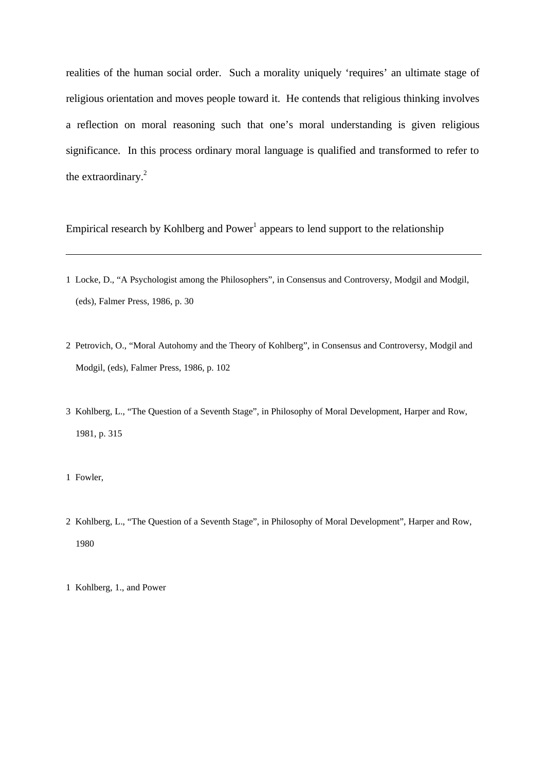realities of the human social order. Such a morality uniquely 'requires' an ultimate stage of religious orientation and moves people toward it. He contends that religious thinking involves a reflection on moral reasoning such that one's moral understanding is given religious significance. In this process ordinary moral language is qualified and transformed to refer to the extraordinary.<sup>2</sup>

Empirical research by Kohlberg and Power<sup>1</sup> appears to lend support to the relationship

- 1 Locke, D., "A Psychologist among the Philosophers", in Consensus and Controversy, Modgil and Modgil, (eds), Falmer Press, 1986, p. 30
- 2 Petrovich, O., "Moral Autohomy and the Theory of Kohlberg", in Consensus and Controversy, Modgil and Modgil, (eds), Falmer Press, 1986, p. 102
- 3 Kohlberg, L., "The Question of a Seventh Stage", in Philosophy of Moral Development, Harper and Row, 1981, p. 315
- 1 Fowler,
- 2 Kohlberg, L., "The Question of a Seventh Stage", in Philosophy of Moral Development", Harper and Row, 1980

<sup>1</sup> Kohlberg, 1., and Power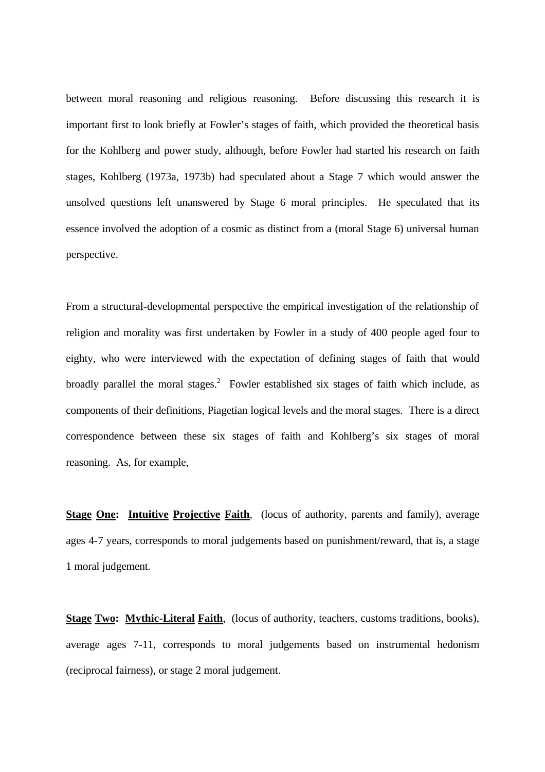between moral reasoning and religious reasoning. Before discussing this research it is important first to look briefly at Fowler's stages of faith, which provided the theoretical basis for the Kohlberg and power study, although, before Fowler had started his research on faith stages, Kohlberg (1973a, 1973b) had speculated about a Stage 7 which would answer the unsolved questions left unanswered by Stage 6 moral principles. He speculated that its essence involved the adoption of a cosmic as distinct from a (moral Stage 6) universal human perspective.

From a structural-developmental perspective the empirical investigation of the relationship of religion and morality was first undertaken by Fowler in a study of 400 people aged four to eighty, who were interviewed with the expectation of defining stages of faith that would broadly parallel the moral stages.<sup>2</sup> Fowler established six stages of faith which include, as components of their definitions, Piagetian logical levels and the moral stages. There is a direct correspondence between these six stages of faith and Kohlberg's six stages of moral reasoning. As, for example,

**Stage One: Intuitive Projective Faith**, (locus of authority, parents and family), average ages 4-7 years, corresponds to moral judgements based on punishment/reward, that is, a stage 1 moral judgement.

**Stage Two: Mythic-Literal Faith**, (locus of authority, teachers, customs traditions, books), average ages 7-11, corresponds to moral judgements based on instrumental hedonism (reciprocal fairness), or stage 2 moral judgement.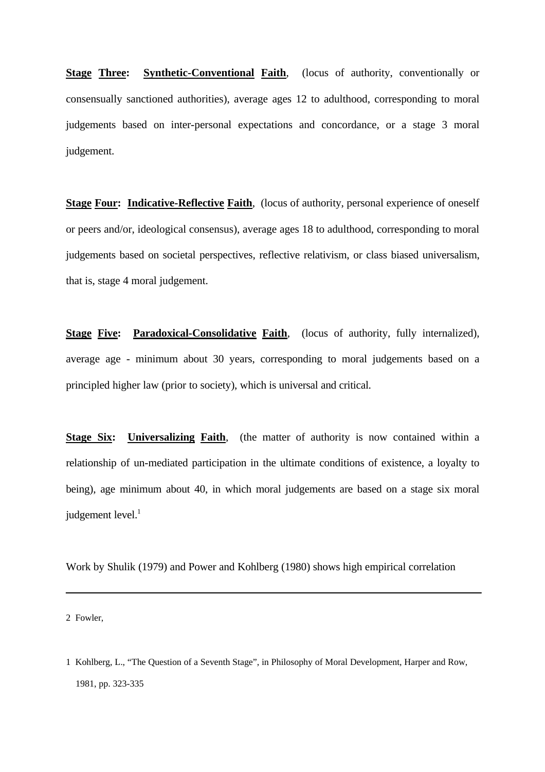**Stage Three: Synthetic-Conventional Faith**, (locus of authority, conventionally or consensually sanctioned authorities), average ages 12 to adulthood, corresponding to moral judgements based on inter-personal expectations and concordance, or a stage 3 moral judgement.

**Stage Four: Indicative-Reflective Faith**, (locus of authority, personal experience of oneself or peers and/or, ideological consensus), average ages 18 to adulthood, corresponding to moral judgements based on societal perspectives, reflective relativism, or class biased universalism, that is, stage 4 moral judgement.

**Stage Five: Paradoxical-Consolidative Faith**, (locus of authority, fully internalized), average age - minimum about 30 years, corresponding to moral judgements based on a principled higher law (prior to society), which is universal and critical.

**Stage Six:** Universalizing Faith, (the matter of authority is now contained within a relationship of un-mediated participation in the ultimate conditions of existence, a loyalty to being), age minimum about 40, in which moral judgements are based on a stage six moral judgement  $level.<sup>1</sup>$ 

Work by Shulik (1979) and Power and Kohlberg (1980) shows high empirical correlation

2 Fowler,

<sup>1</sup> Kohlberg, L., "The Question of a Seventh Stage", in Philosophy of Moral Development, Harper and Row, 1981, pp. 323-335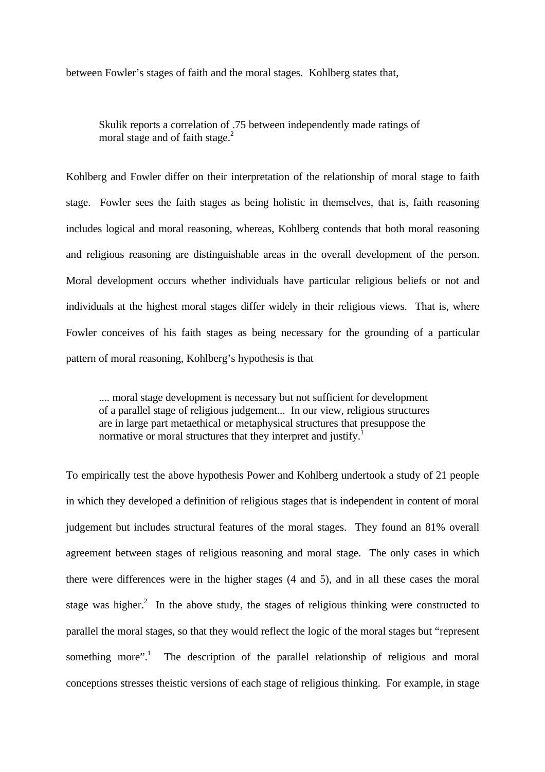between Fowler's stages of faith and the moral stages. Kohlberg states that,

Skulik reports a correlation of .75 between independently made ratings of moral stage and of faith stage.<sup>2</sup>

Kohlberg and Fowler differ on their interpretation of the relationship of moral stage to faith stage. Fowler sees the faith stages as being holistic in themselves, that is, faith reasoning includes logical and moral reasoning, whereas, Kohlberg contends that both moral reasoning and religious reasoning are distinguishable areas in the overall development of the person. Moral development occurs whether individuals have particular religious beliefs or not and individuals at the highest moral stages differ widely in their religious views. That is, where Fowler conceives of his faith stages as being necessary for the grounding of a particular pattern of moral reasoning, Kohlberg's hypothesis is that

.... moral stage development is necessary but not sufficient for development of a parallel stage of religious judgement... In our view, religious structures are in large part metaethical or metaphysical structures that presuppose the normative or moral structures that they interpret and justify.<sup>1</sup>

To empirically test the above hypothesis Power and Kohlberg undertook a study of 21 people in which they developed a definition of religious stages that is independent in content of moral judgement but includes structural features of the moral stages. They found an 81% overall agreement between stages of religious reasoning and moral stage. The only cases in which there were differences were in the higher stages (4 and 5), and in all these cases the moral stage was higher.<sup>2</sup> In the above study, the stages of religious thinking were constructed to parallel the moral stages, so that they would reflect the logic of the moral stages but "represent something more".<sup>1</sup> The description of the parallel relationship of religious and moral conceptions stresses theistic versions of each stage of religious thinking. For example, in stage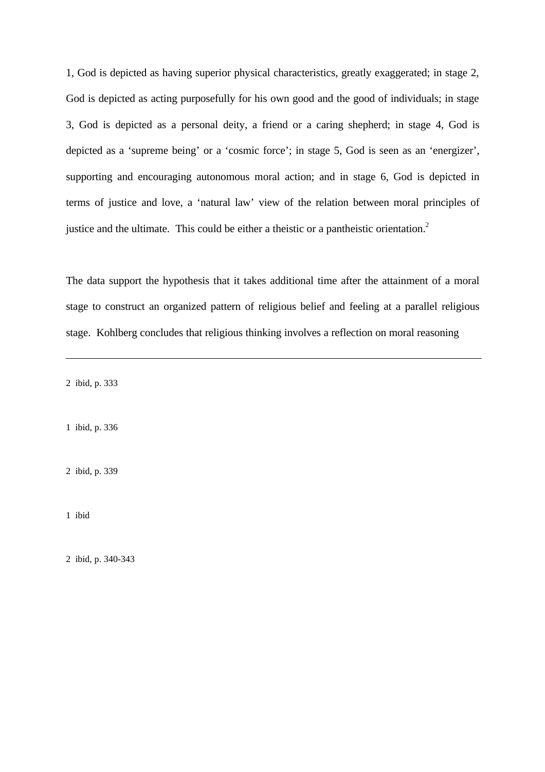1, God is depicted as having superior physical characteristics, greatly exaggerated; in stage 2, God is depicted as acting purposefully for his own good and the good of individuals; in stage 3, God is depicted as a personal deity, a friend or a caring shepherd; in stage 4, God is depicted as a 'supreme being' or a 'cosmic force'; in stage 5, God is seen as an 'energizer', supporting and encouraging autonomous moral action; and in stage 6, God is depicted in terms of justice and love, a 'natural law' view of the relation between moral principles of justice and the ultimate. This could be either a theistic or a pantheistic orientation.<sup>2</sup>

The data support the hypothesis that it takes additional time after the attainment of a moral stage to construct an organized pattern of religious belief and feeling at a parallel religious stage. Kohlberg concludes that religious thinking involves a reflection on moral reasoning

2 ibid, p. 333

1 ibid, p. 336

2 ibid, p. 339

1 ibid

2 ibid, p. 340-343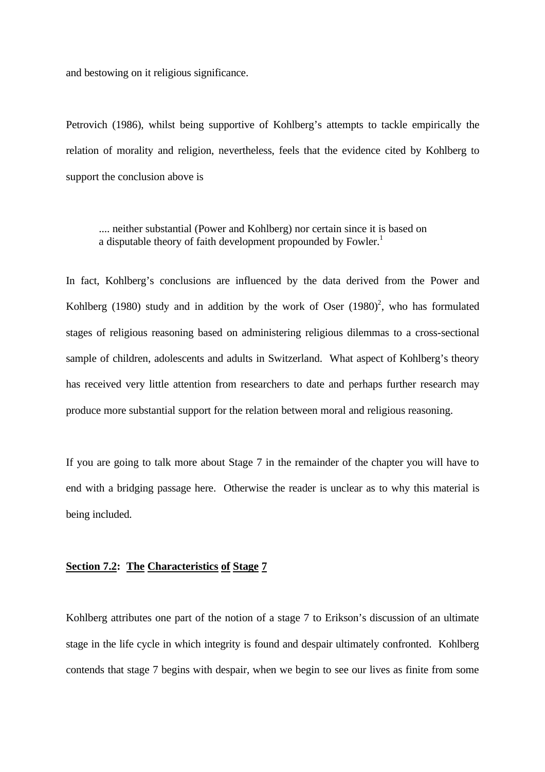and bestowing on it religious significance.

Petrovich (1986), whilst being supportive of Kohlberg's attempts to tackle empirically the relation of morality and religion, nevertheless, feels that the evidence cited by Kohlberg to support the conclusion above is

.... neither substantial (Power and Kohlberg) nor certain since it is based on a disputable theory of faith development propounded by Fowler.<sup>1</sup>

In fact, Kohlberg's conclusions are influenced by the data derived from the Power and Kohlberg (1980) study and in addition by the work of Oser  $(1980)^2$ , who has formulated stages of religious reasoning based on administering religious dilemmas to a cross-sectional sample of children, adolescents and adults in Switzerland. What aspect of Kohlberg's theory has received very little attention from researchers to date and perhaps further research may produce more substantial support for the relation between moral and religious reasoning.

If you are going to talk more about Stage 7 in the remainder of the chapter you will have to end with a bridging passage here. Otherwise the reader is unclear as to why this material is being included.

## **Section 7.2: The Characteristics of Stage 7**

Kohlberg attributes one part of the notion of a stage 7 to Erikson's discussion of an ultimate stage in the life cycle in which integrity is found and despair ultimately confronted. Kohlberg contends that stage 7 begins with despair, when we begin to see our lives as finite from some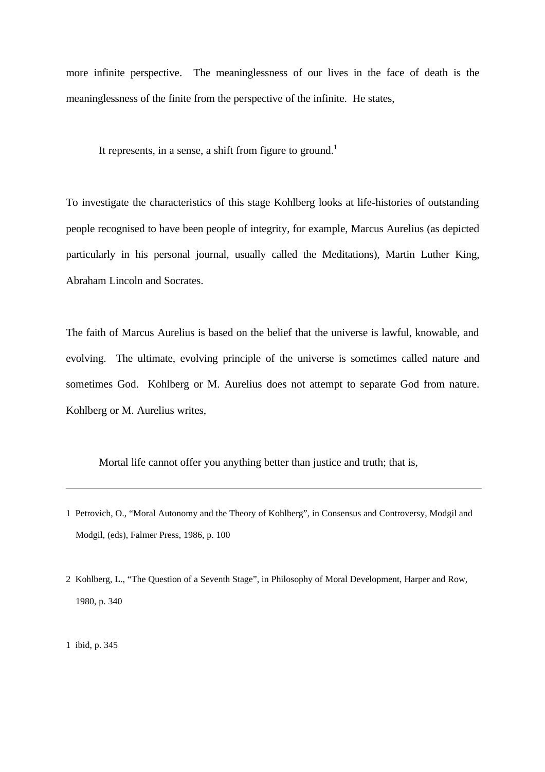more infinite perspective. The meaninglessness of our lives in the face of death is the meaninglessness of the finite from the perspective of the infinite. He states,

It represents, in a sense, a shift from figure to ground.<sup>1</sup>

To investigate the characteristics of this stage Kohlberg looks at life-histories of outstanding people recognised to have been people of integrity, for example, Marcus Aurelius (as depicted particularly in his personal journal, usually called the Meditations), Martin Luther King, Abraham Lincoln and Socrates.

The faith of Marcus Aurelius is based on the belief that the universe is lawful, knowable, and evolving. The ultimate, evolving principle of the universe is sometimes called nature and sometimes God. Kohlberg or M. Aurelius does not attempt to separate God from nature. Kohlberg or M. Aurelius writes,

Mortal life cannot offer you anything better than justice and truth; that is,

2 Kohlberg, L., "The Question of a Seventh Stage", in Philosophy of Moral Development, Harper and Row, 1980, p. 340

1 ibid, p. 345

<sup>1</sup> Petrovich, O., "Moral Autonomy and the Theory of Kohlberg", in Consensus and Controversy, Modgil and Modgil, (eds), Falmer Press, 1986, p. 100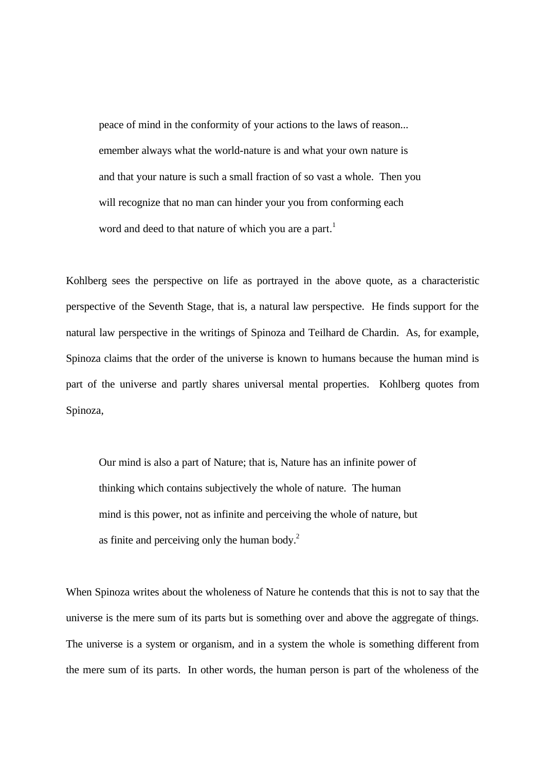peace of mind in the conformity of your actions to the laws of reason... emember always what the world-nature is and what your own nature is and that your nature is such a small fraction of so vast a whole. Then you will recognize that no man can hinder your you from conforming each word and deed to that nature of which you are a part.<sup>1</sup>

Kohlberg sees the perspective on life as portrayed in the above quote, as a characteristic perspective of the Seventh Stage, that is, a natural law perspective. He finds support for the natural law perspective in the writings of Spinoza and Teilhard de Chardin. As, for example, Spinoza claims that the order of the universe is known to humans because the human mind is part of the universe and partly shares universal mental properties. Kohlberg quotes from Spinoza,

Our mind is also a part of Nature; that is, Nature has an infinite power of thinking which contains subjectively the whole of nature. The human mind is this power, not as infinite and perceiving the whole of nature, but as finite and perceiving only the human body.<sup>2</sup>

When Spinoza writes about the wholeness of Nature he contends that this is not to say that the universe is the mere sum of its parts but is something over and above the aggregate of things. The universe is a system or organism, and in a system the whole is something different from the mere sum of its parts. In other words, the human person is part of the wholeness of the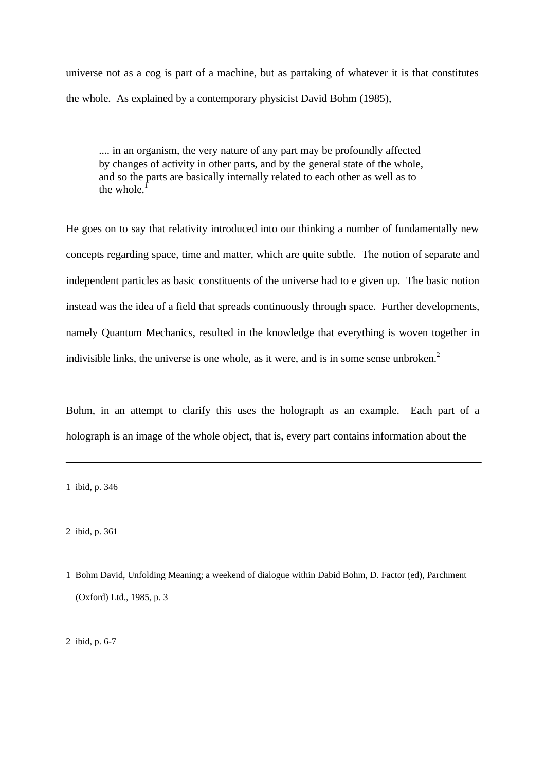universe not as a cog is part of a machine, but as partaking of whatever it is that constitutes the whole. As explained by a contemporary physicist David Bohm (1985),

.... in an organism, the very nature of any part may be profoundly affected by changes of activity in other parts, and by the general state of the whole, and so the parts are basically internally related to each other as well as to the whole  $<sup>1</sup>$ </sup>

He goes on to say that relativity introduced into our thinking a number of fundamentally new concepts regarding space, time and matter, which are quite subtle. The notion of separate and independent particles as basic constituents of the universe had to e given up. The basic notion instead was the idea of a field that spreads continuously through space. Further developments, namely Quantum Mechanics, resulted in the knowledge that everything is woven together in indivisible links, the universe is one whole, as it were, and is in some sense unbroken. $2$ 

Bohm, in an attempt to clarify this uses the holograph as an example. Each part of a holograph is an image of the whole object, that is, every part contains information about the

2 ibid, p. 6-7

<sup>1</sup> ibid, p. 346

<sup>2</sup> ibid, p. 361

<sup>1</sup> Bohm David, Unfolding Meaning; a weekend of dialogue within Dabid Bohm, D. Factor (ed), Parchment (Oxford) Ltd., 1985, p. 3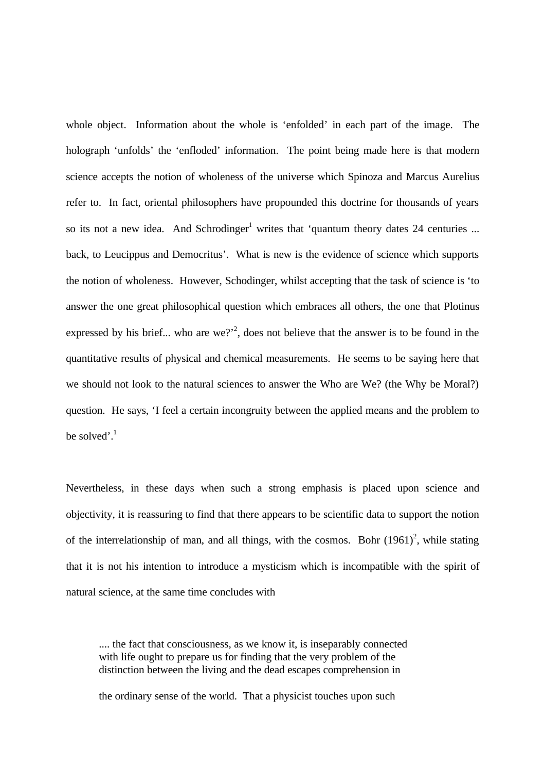whole object. Information about the whole is 'enfolded' in each part of the image. The holograph 'unfolds' the 'enfloded' information. The point being made here is that modern science accepts the notion of wholeness of the universe which Spinoza and Marcus Aurelius refer to. In fact, oriental philosophers have propounded this doctrine for thousands of years so its not a new idea. And Schrodinger<sup>1</sup> writes that 'quantum theory dates 24 centuries ... back, to Leucippus and Democritus'. What is new is the evidence of science which supports the notion of wholeness. However, Schodinger, whilst accepting that the task of science is 'to answer the one great philosophical question which embraces all others, the one that Plotinus expressed by his brief... who are we?<sup>2</sup>, does not believe that the answer is to be found in the quantitative results of physical and chemical measurements. He seems to be saying here that we should not look to the natural sciences to answer the Who are We? (the Why be Moral?) question. He says, 'I feel a certain incongruity between the applied means and the problem to be solved'. $1$ 

Nevertheless, in these days when such a strong emphasis is placed upon science and objectivity, it is reassuring to find that there appears to be scientific data to support the notion of the interrelationship of man, and all things, with the cosmos. Bohr  $(1961)^2$ , while stating that it is not his intention to introduce a mysticism which is incompatible with the spirit of natural science, at the same time concludes with

.... the fact that consciousness, as we know it, is inseparably connected with life ought to prepare us for finding that the very problem of the distinction between the living and the dead escapes comprehension in

the ordinary sense of the world. That a physicist touches upon such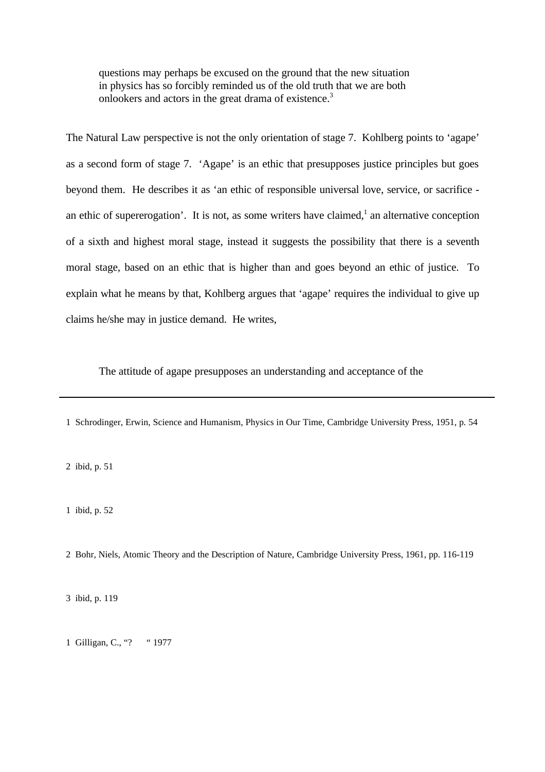questions may perhaps be excused on the ground that the new situation in physics has so forcibly reminded us of the old truth that we are both onlookers and actors in the great drama of existence.<sup>3</sup>

The Natural Law perspective is not the only orientation of stage 7. Kohlberg points to 'agape' as a second form of stage 7. 'Agape' is an ethic that presupposes justice principles but goes beyond them. He describes it as 'an ethic of responsible universal love, service, or sacrifice an ethic of supererogation'. It is not, as some writers have claimed,<sup>1</sup> an alternative conception of a sixth and highest moral stage, instead it suggests the possibility that there is a seventh moral stage, based on an ethic that is higher than and goes beyond an ethic of justice. To explain what he means by that, Kohlberg argues that 'agape' requires the individual to give up claims he/she may in justice demand. He writes,

The attitude of agape presupposes an understanding and acceptance of the

1 Schrodinger, Erwin, Science and Humanism, Physics in Our Time, Cambridge University Press, 1951, p. 54

2 ibid, p. 51

1 ibid, p. 52

2 Bohr, Niels, Atomic Theory and the Description of Nature, Cambridge University Press, 1961, pp. 116-119

3 ibid, p. 119

1 Gilligan, C., "? "1977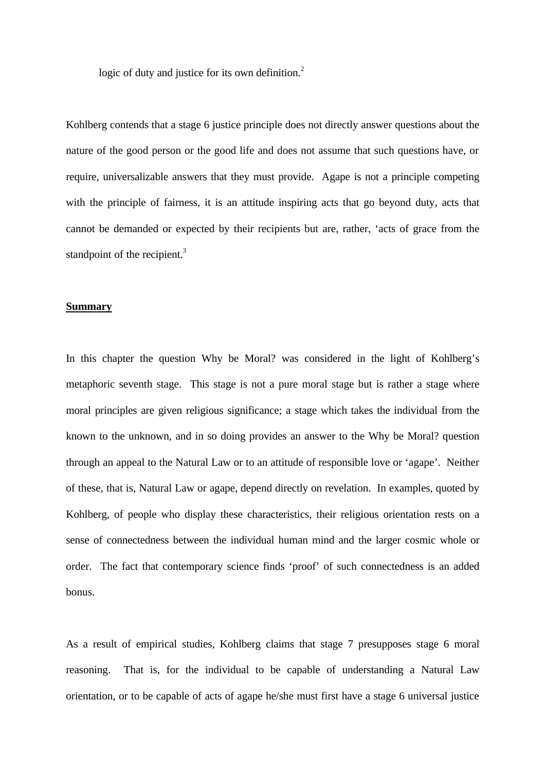logic of duty and justice for its own definition.<sup>2</sup>

Kohlberg contends that a stage 6 justice principle does not directly answer questions about the nature of the good person or the good life and does not assume that such questions have, or require, universalizable answers that they must provide. Agape is not a principle competing with the principle of fairness, it is an attitude inspiring acts that go beyond duty, acts that cannot be demanded or expected by their recipients but are, rather, 'acts of grace from the standpoint of the recipient.<sup>3</sup>

## **Summary**

In this chapter the question Why be Moral? was considered in the light of Kohlberg's metaphoric seventh stage. This stage is not a pure moral stage but is rather a stage where moral principles are given religious significance; a stage which takes the individual from the known to the unknown, and in so doing provides an answer to the Why be Moral? question through an appeal to the Natural Law or to an attitude of responsible love or 'agape'. Neither of these, that is, Natural Law or agape, depend directly on revelation. In examples, quoted by Kohlberg, of people who display these characteristics, their religious orientation rests on a sense of connectedness between the individual human mind and the larger cosmic whole or order. The fact that contemporary science finds 'proof' of such connectedness is an added bonus.

As a result of empirical studies, Kohlberg claims that stage 7 presupposes stage 6 moral reasoning. That is, for the individual to be capable of understanding a Natural Law orientation, or to be capable of acts of agape he/she must first have a stage 6 universal justice